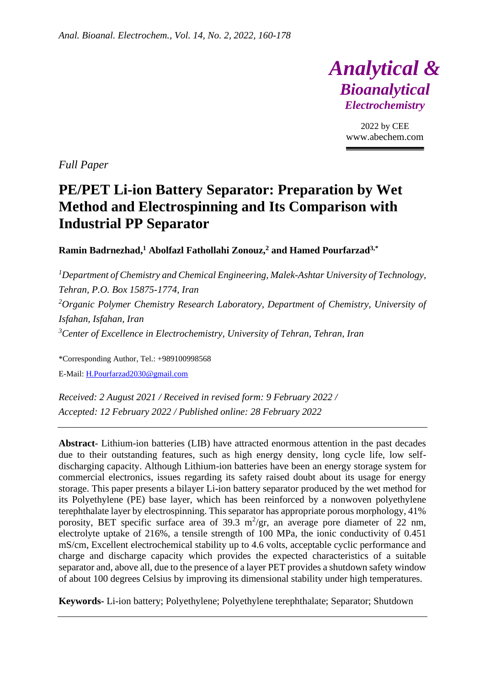

2022 by CEE www.abechem.com

*Full Paper*

# **PE/PET Li-ion Battery Separator: Preparation by Wet Method and Electrospinning and Its Comparison with Industrial PP Separator**

**Ramin Badrnezhad, <sup>1</sup> Abolfazl Fathollahi Zonouz, <sup>2</sup> and Hamed Pourfarzad3,\***

*<sup>1</sup>Department of Chemistry and Chemical Engineering, Malek-Ashtar University of Technology, Tehran, P.O. Box 15875-1774, Iran <sup>2</sup>Organic Polymer Chemistry Research Laboratory, Department of Chemistry, University of Isfahan, Isfahan, Iran <sup>3</sup>Center of Excellence in Electrochemistry, University of Tehran, Tehran, Iran*

\*Corresponding Author, Tel.: +989100998568 E-Mail: [H.Pourfarzad2030@gmail.com](mailto:H.Pourfarzad2030@gmail.com) 

*Received: 2 August 2021 / Received in revised form: 9 February 2022 / Accepted: 12 February 2022 / Published online: 28 February 2022*

**Abstract**- Lithium-ion batteries (LIB) have attracted enormous attention in the past decades due to their outstanding features, such as high energy density, long cycle life, low selfdischarging capacity. Although Lithium-ion batteries have been an energy storage system for commercial electronics, issues regarding its safety raised doubt about its usage for energy storage. This paper presents a bilayer Li-ion battery separator produced by the wet method for its Polyethylene (PE) base layer, which has been reinforced by a nonwoven polyethylene terephthalate layer by electrospinning. This separator has appropriate porous morphology, 41% porosity, BET specific surface area of 39.3  $m^2/gr$ , an average pore diameter of 22 nm, electrolyte uptake of 216%, a tensile strength of 100 MPa, the ionic conductivity of 0.451 mS/cm, Excellent electrochemical stability up to 4.6 volts, acceptable cyclic performance and charge and discharge capacity which provides the expected characteristics of a suitable separator and, above all, due to the presence of a layer PET provides a shutdown safety window of about 100 degrees Celsius by improving its dimensional stability under high temperatures.

**Keywords-** Li-ion battery; Polyethylene; Polyethylene terephthalate; Separator; Shutdown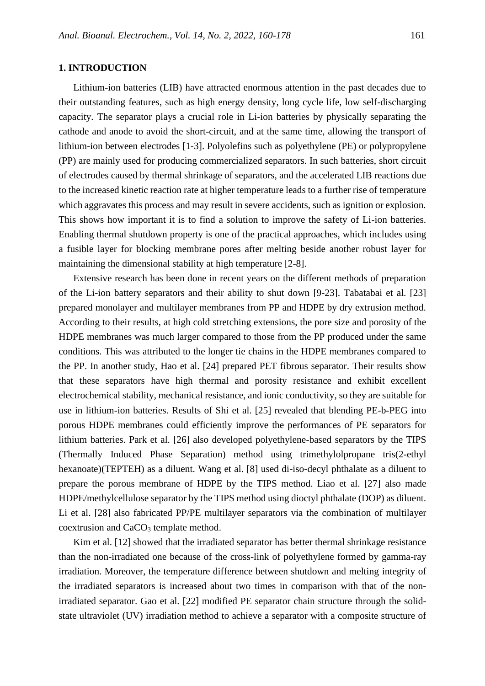## **1. INTRODUCTION**

Lithium-ion batteries (LIB) have attracted enormous attention in the past decades due to their outstanding features, such as high energy density, long cycle life, low self-discharging capacity. The separator plays a crucial role in Li-ion batteries by physically separating the cathode and anode to avoid the short-circuit, and at the same time, allowing the transport of lithium-ion between electrodes [1-3]. Polyolefins such as polyethylene (PE) or polypropylene (PP) are mainly used for producing commercialized separators. In such batteries, short circuit of electrodes caused by thermal shrinkage of separators, and the accelerated LIB reactions due to the increased kinetic reaction rate at higher temperature leads to a further rise of temperature which aggravates this process and may result in severe accidents, such as ignition or explosion. This shows how important it is to find a solution to improve the safety of Li-ion batteries. Enabling thermal shutdown property is one of the practical approaches, which includes using a fusible layer for blocking membrane pores after melting beside another robust layer for maintaining the dimensional stability at high temperature [2-8].

Extensive research has been done in recent years on the different methods of preparation of the Li-ion battery separators and their ability to shut down [9-23]. Tabatabai et al. [23] prepared monolayer and multilayer membranes from PP and HDPE by dry extrusion method. According to their results, at high cold stretching extensions, the pore size and porosity of the HDPE membranes was much larger compared to those from the PP produced under the same conditions. This was attributed to the longer tie chains in the HDPE membranes compared to the PP. In another study, Hao et al. [24] prepared PET fibrous separator. Their results show that these separators have high thermal and porosity resistance and exhibit excellent electrochemical stability, mechanical resistance, and ionic conductivity, so they are suitable for use in lithium-ion batteries. Results of Shi et al. [25] revealed that blending PE-b-PEG into porous HDPE membranes could efficiently improve the performances of PE separators for lithium batteries. Park et al. [26] also developed polyethylene-based separators by the TIPS (Thermally Induced Phase Separation) method using trimethylolpropane tris(2-ethyl hexanoate)(TEPTEH) as a diluent. Wang et al. [8] used di-iso-decyl phthalate as a diluent to prepare the porous membrane of HDPE by the TIPS method. Liao et al. [27] also made HDPE/methylcellulose separator by the TIPS method using dioctyl phthalate (DOP) as diluent. Li et al. [28] also fabricated PP/PE multilayer separators via the combination of multilayer coextrusion and CaCO<sub>3</sub> template method.

Kim et al. [12] showed that the irradiated separator has better thermal shrinkage resistance than the non-irradiated one because of the cross-link of polyethylene formed by gamma-ray irradiation. Moreover, the temperature difference between shutdown and melting integrity of the irradiated separators is increased about two times in comparison with that of the nonirradiated separator. Gao et al. [22] modified PE separator chain structure through the solidstate ultraviolet (UV) irradiation method to achieve a separator with a composite structure of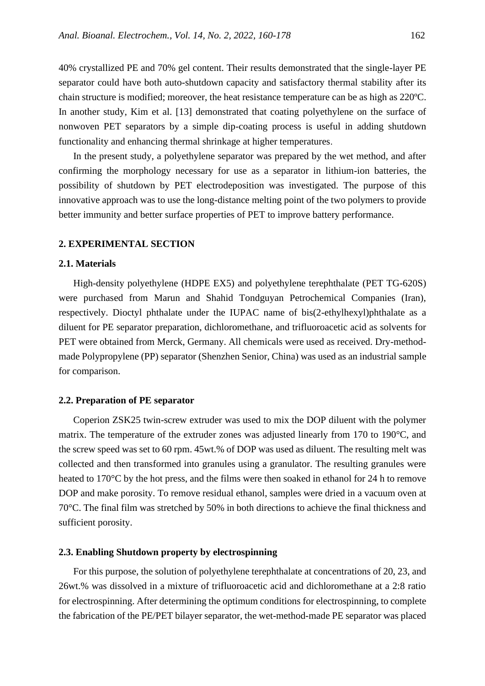40% crystallized PE and 70% gel content. Their results demonstrated that the single-layer PE separator could have both auto-shutdown capacity and satisfactory thermal stability after its chain structure is modified; moreover, the heat resistance temperature can be as high as 220ºC. In another study, Kim et al. [13] demonstrated that coating polyethylene on the surface of nonwoven PET separators by a simple dip-coating process is useful in adding shutdown functionality and enhancing thermal shrinkage at higher temperatures .

In the present study, a polyethylene separator was prepared by the wet method, and after confirming the morphology necessary for use as a separator in lithium-ion batteries, the possibility of shutdown by PET electrodeposition was investigated. The purpose of this innovative approach was to use the long-distance melting point of the two polymers to provide better immunity and better surface properties of PET to improve battery performance.

### **2. EXPERIMENTAL SECTION**

# **2.1. Materials**

High-density polyethylene (HDPE EX5) and polyethylene terephthalate (PET TG-620S) were purchased from Marun and Shahid Tondguyan Petrochemical Companies (Iran), respectively. Dioctyl phthalate under the IUPAC name of bis(2-ethylhexyl)phthalate as a diluent for PE separator preparation, dichloromethane, and trifluoroacetic acid as solvents for PET were obtained from Merck, Germany. All chemicals were used as received. Dry-methodmade Polypropylene (PP) separator (Shenzhen Senior, China) was used as an industrial sample for comparison.

### **2.2. Preparation of PE separator**

Coperion ZSK25 twin-screw extruder was used to mix the DOP diluent with the polymer matrix. The temperature of the extruder zones was adjusted linearly from 170 to 190°C, and the screw speed was set to 60 rpm. 45wt.% of DOP was used as diluent. The resulting melt was collected and then transformed into granules using a granulator. The resulting granules were heated to 170<sup>o</sup>C by the hot press, and the films were then soaked in ethanol for 24 h to remove DOP and make porosity. To remove residual ethanol, samples were dried in a vacuum oven at 70°C. The final film was stretched by 50% in both directions to achieve the final thickness and sufficient porosity.

## **2.3. Enabling Shutdown property by electrospinning**

For this purpose, the solution of polyethylene terephthalate at concentrations of 20, 23, and 26wt.% was dissolved in a mixture of trifluoroacetic acid and dichloromethane at a 2:8 ratio for electrospinning. After determining the optimum conditions for electrospinning, to complete the fabrication of the PE/PET bilayer separator, the wet-method-made PE separator was placed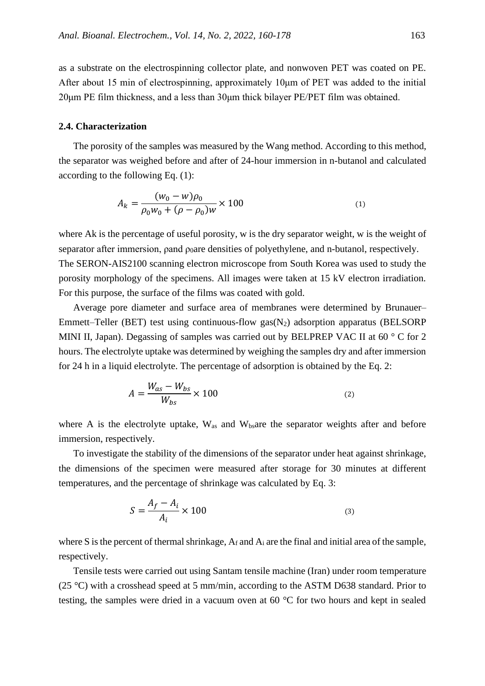as a substrate on the electrospinning collector plate, and nonwoven PET was coated on PE. After about 15 min of electrospinning, approximately 10μm of PET was added to the initial 20μm PE film thickness, and a less than 30μm thick bilayer PE/PET film was obtained.

### **2.4. Characterization**

The porosity of the samples was measured by the Wang method. According to this method, the separator was weighed before and after of 24-hour immersion in n-butanol and calculated according to the following Eq. (1):

$$
A_k = \frac{(w_0 - w)\rho_0}{\rho_0 w_0 + (\rho - \rho_0)w} \times 100
$$
 (1)

where Ak is the percentage of useful porosity, w is the dry separator weight, w is the weight of separator after immersion, pand  $\rho_0$ are densities of polyethylene, and n-butanol, respectively. The SERON-AIS2100 scanning electron microscope from South Korea was used to study the porosity morphology of the specimens. All images were taken at 15 kV electron irradiation. For this purpose, the surface of the films was coated with gold.

Average pore diameter and surface area of membranes were determined by Brunauer– Emmett–Teller (BET) test using continuous-flow  $gas(N_2)$  adsorption apparatus (BELSORP MINI II, Japan). Degassing of samples was carried out by BELPREP VAC II at 60 °C for 2 hours. The electrolyte uptake was determined by weighing the samples dry and after immersion for 24 h in a liquid electrolyte. The percentage of adsorption is obtained by the Eq. 2:

$$
A = \frac{W_{as} - W_{bs}}{W_{bs}} \times 100\tag{2}
$$

where A is the electrolyte uptake,  $W_{as}$  and  $W_{bs}$  are the separator weights after and before immersion, respectively.

To investigate the stability of the dimensions of the separator under heat against shrinkage, the dimensions of the specimen were measured after storage for 30 minutes at different temperatures, and the percentage of shrinkage was calculated by Eq. 3:

$$
S = \frac{A_f - A_i}{A_i} \times 100\tag{3}
$$

where S is the percent of thermal shrinkage,  $A_f$  and  $A_i$  are the final and initial area of the sample, respectively.

Tensile tests were carried out using Santam tensile machine (Iran) under room temperature (25 °C) with a crosshead speed at 5 mm/min, according to the ASTM D638 standard. Prior to testing, the samples were dried in a vacuum oven at 60 °C for two hours and kept in sealed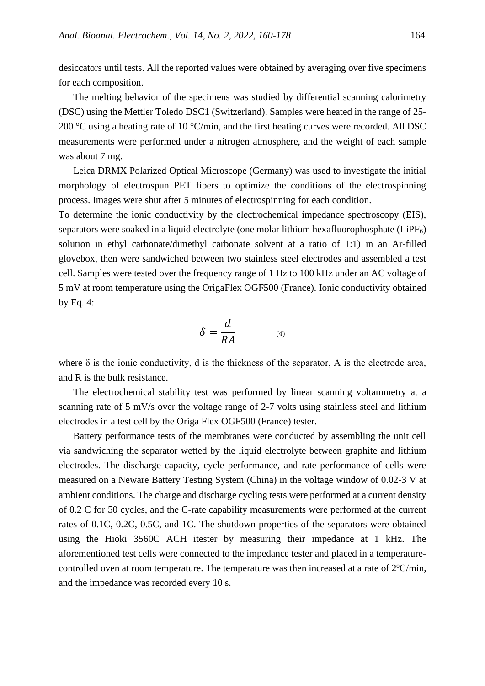desiccators until tests. All the reported values were obtained by averaging over five specimens for each composition.

The melting behavior of the specimens was studied by differential scanning calorimetry (DSC) using the Mettler Toledo DSC1 (Switzerland). Samples were heated in the range of 25- 200  $\degree$ C using a heating rate of 10  $\degree$ C/min, and the first heating curves were recorded. All DSC measurements were performed under a nitrogen atmosphere, and the weight of each sample was about 7 mg.

Leica DRMX Polarized Optical Microscope (Germany) was used to investigate the initial morphology of electrospun PET fibers to optimize the conditions of the electrospinning process. Images were shut after 5 minutes of electrospinning for each condition.

To determine the ionic conductivity by the electrochemical impedance spectroscopy (EIS), separators were soaked in a liquid electrolyte (one molar lithium hexafluorophosphate  $(LiPF<sub>6</sub>)$ ) solution in ethyl carbonate/dimethyl carbonate solvent at a ratio of 1:1) in an Ar-filled glovebox, then were sandwiched between two stainless steel electrodes and assembled a test cell. Samples were tested over the frequency range of 1 Hz to 100 kHz under an AC voltage of 5 mV at room temperature using the OrigaFlex OGF500 (France). Ionic conductivity obtained by Eq. 4:

$$
\delta = \frac{d}{RA} \tag{4}
$$

where  $\delta$  is the ionic conductivity, d is the thickness of the separator, A is the electrode area, and R is the bulk resistance.

The electrochemical stability test was performed by linear scanning voltammetry at a scanning rate of 5 mV/s over the voltage range of 2-7 volts using stainless steel and lithium electrodes in a test cell by the Origa Flex OGF500 (France) tester.

Battery performance tests of the membranes were conducted by assembling the unit cell via sandwiching the separator wetted by the liquid electrolyte between graphite and lithium electrodes. The discharge capacity, cycle performance, and rate performance of cells were measured on a Neware Battery Testing System (China) in the voltage window of 0.02-3 V at ambient conditions. The charge and discharge cycling tests were performed at a current density of 0.2 C for 50 cycles, and the C-rate capability measurements were performed at the current rates of 0.1C, 0.2C, 0.5C, and 1C. The shutdown properties of the separators were obtained using the Hioki 3560C ACH itester by measuring their impedance at 1 kHz. The aforementioned test cells were connected to the impedance tester and placed in a temperaturecontrolled oven at room temperature. The temperature was then increased at a rate of 2ºC/min, and the impedance was recorded every 10 s.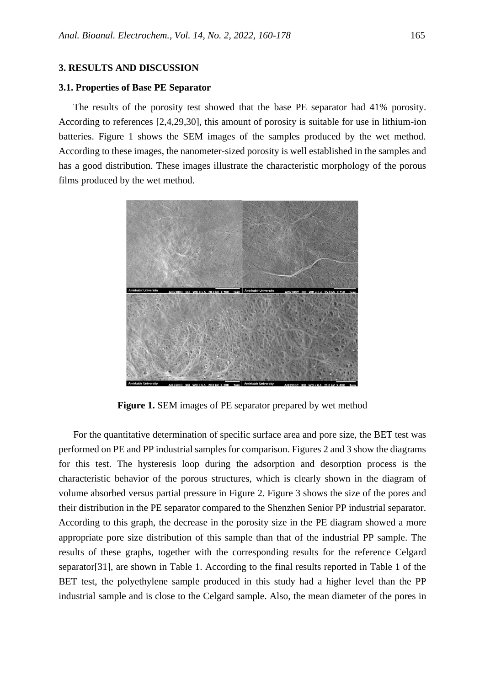## **3. RESULTS AND DISCUSSION**

### **3.1. Properties of Base PE Separator**

The results of the porosity test showed that the base PE separator had 41% porosity. According to references [2,4,29,30], this amount of porosity is suitable for use in lithium-ion batteries. Figure 1 shows the SEM images of the samples produced by the wet method. According to these images, the nanometer-sized porosity is well established in the samples and has a good distribution. These images illustrate the characteristic morphology of the porous films produced by the wet method.



**Figure 1. SEM** images of PE separator prepared by wet method

For the quantitative determination of specific surface area and pore size, the BET test was performed on PE and PP industrial samples for comparison. Figures 2 and 3 show the diagrams for this test. The hysteresis loop during the adsorption and desorption process is the characteristic behavior of the porous structures, which is clearly shown in the diagram of volume absorbed versus partial pressure in Figure 2. Figure 3 shows the size of the pores and their distribution in the PE separator compared to the Shenzhen Senior PP industrial separator. According to this graph, the decrease in the porosity size in the PE diagram showed a more appropriate pore size distribution of this sample than that of the industrial PP sample. The results of these graphs, together with the corresponding results for the reference Celgard separator[31], are shown in Table 1. According to the final results reported in Table 1 of the BET test, the polyethylene sample produced in this study had a higher level than the PP industrial sample and is close to the Celgard sample. Also, the mean diameter of the pores in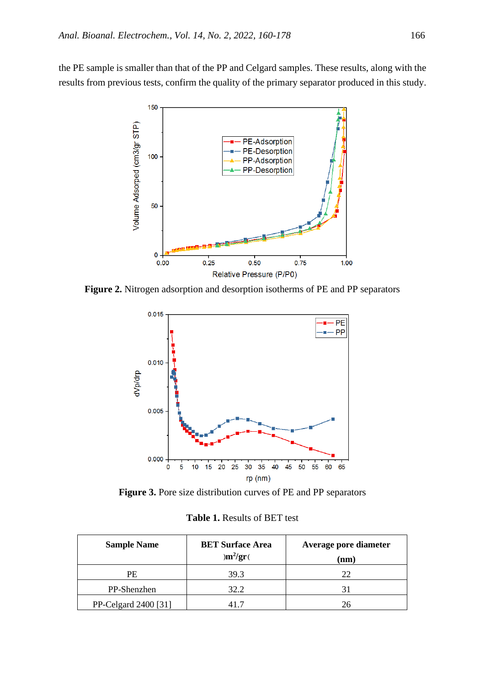the PE sample is smaller than that of the PP and Celgard samples. These results, along with the results from previous tests, confirm the quality of the primary separator produced in this study.



**Figure 2.** Nitrogen adsorption and desorption isotherms of PE and PP separators



**Figure 3.** Pore size distribution curves of PE and PP separators

**Table 1.** Results of BET test

| <b>Sample Name</b>   | <b>BET Surface Area</b><br>$\mathrm{m}^2/\mathrm{gr}$ | Average pore diameter<br>(nm) |
|----------------------|-------------------------------------------------------|-------------------------------|
| PE                   | 39.3                                                  | $22^{\circ}$                  |
| PP-Shenzhen          | 32.2                                                  |                               |
| PP-Celgard 2400 [31] |                                                       | 26                            |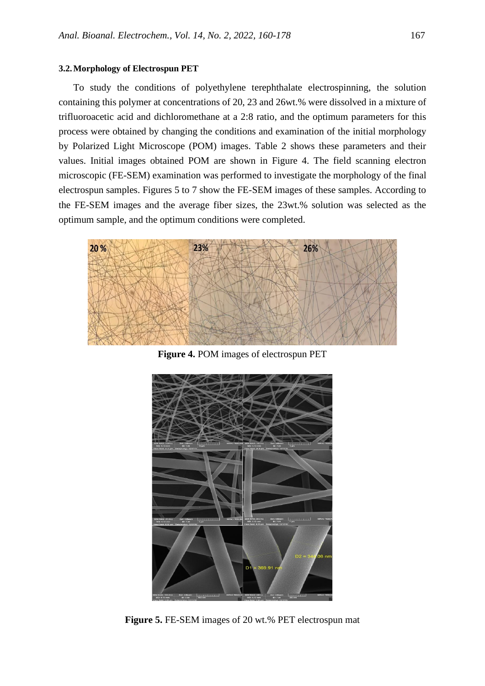#### **3.2.Morphology of Electrospun PET**

To study the conditions of polyethylene terephthalate electrospinning, the solution containing this polymer at concentrations of 20, 23 and 26wt.% were dissolved in a mixture of trifluoroacetic acid and dichloromethane at a 2:8 ratio, and the optimum parameters for this process were obtained by changing the conditions and examination of the initial morphology by Polarized Light Microscope (POM) images. Table 2 shows these parameters and their values. Initial images obtained POM are shown in Figure 4. The field scanning electron microscopic (FE-SEM) examination was performed to investigate the morphology of the final electrospun samples. Figures 5 to 7 show the FE-SEM images of these samples. According to the FE-SEM images and the average fiber sizes, the 23wt.% solution was selected as the optimum sample, and the optimum conditions were completed.



**Figure 4.** POM images of electrospun PET



**Figure 5.** FE-SEM images of 20 wt.% PET electrospun mat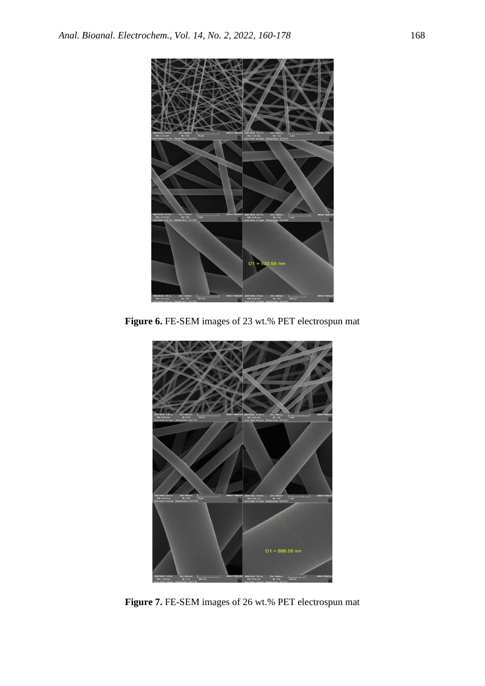

Figure 6. FE-SEM images of 23 wt.% PET electrospun mat



**Figure 7.** FE-SEM images of 26 wt.% PET electrospun mat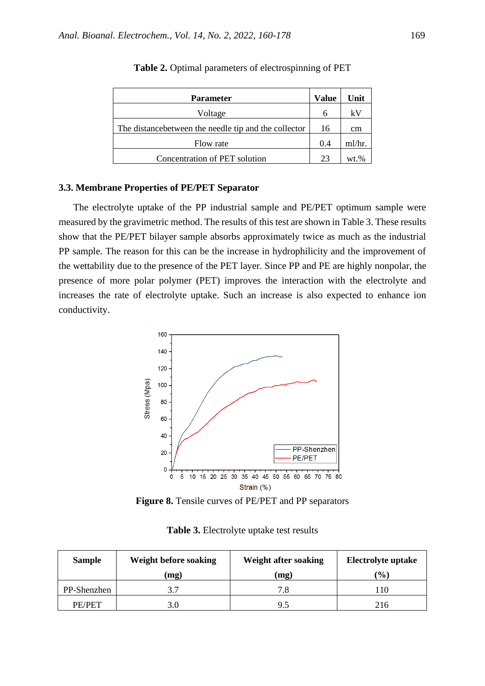| <b>Parameter</b>                                      |  | Unit    |
|-------------------------------------------------------|--|---------|
| Voltage                                               |  | kV      |
| The distance between the needle tip and the collector |  | cm      |
| Flow rate                                             |  | ml/hr.  |
| Concentration of PET solution                         |  | $wt$ .% |

**Table 2.** Optimal parameters of electrospinning of PET

## **3.3. Membrane Properties of PE/PET Separator**

The electrolyte uptake of the PP industrial sample and PE/PET optimum sample were measured by the gravimetric method. The results of this test are shown in Table 3. These results show that the PE/PET bilayer sample absorbs approximately twice as much as the industrial PP sample. The reason for this can be the increase in hydrophilicity and the improvement of the wettability due to the presence of the PET layer. Since PP and PE are highly nonpolar, the presence of more polar polymer (PET) improves the interaction with the electrolyte and increases the rate of electrolyte uptake. Such an increase is also expected to enhance ion conductivity.



Figure 8. Tensile curves of PE/PET and PP separators

| <b>Sample</b> | Weight before soaking | Weight after soaking | Electrolyte uptake           |
|---------------|-----------------------|----------------------|------------------------------|
|               | (mg)                  | (mg)                 | $\left( \frac{0}{0} \right)$ |
| PP-Shenzhen   |                       | 7.8                  | 10                           |
| PE/PET        | 3.0                   | 9.5                  | 216                          |

**Table 3.** Electrolyte uptake test results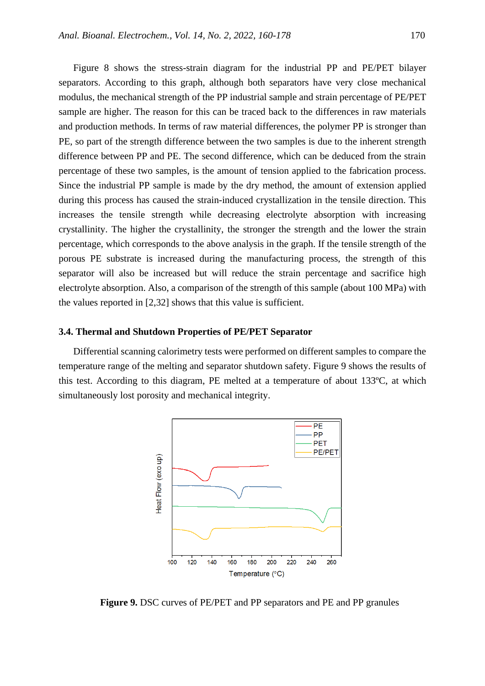Figure 8 shows the stress-strain diagram for the industrial PP and PE/PET bilayer separators. According to this graph, although both separators have very close mechanical modulus, the mechanical strength of the PP industrial sample and strain percentage of PE/PET sample are higher. The reason for this can be traced back to the differences in raw materials and production methods. In terms of raw material differences, the polymer PP is stronger than PE, so part of the strength difference between the two samples is due to the inherent strength difference between PP and PE. The second difference, which can be deduced from the strain percentage of these two samples, is the amount of tension applied to the fabrication process. Since the industrial PP sample is made by the dry method, the amount of extension applied during this process has caused the strain-induced crystallization in the tensile direction. This increases the tensile strength while decreasing electrolyte absorption with increasing crystallinity. The higher the crystallinity, the stronger the strength and the lower the strain percentage, which corresponds to the above analysis in the graph. If the tensile strength of the porous PE substrate is increased during the manufacturing process, the strength of this separator will also be increased but will reduce the strain percentage and sacrifice high electrolyte absorption. Also, a comparison of the strength of this sample (about 100 MPa) with the values reported in [2,32] shows that this value is sufficient.

#### **3.4. Thermal and Shutdown Properties of PE/PET Separator**

Differential scanning calorimetry tests were performed on different samples to compare the temperature range of the melting and separator shutdown safety. Figure 9 shows the results of this test. According to this diagram, PE melted at a temperature of about 133ºC, at which simultaneously lost porosity and mechanical integrity.



**Figure 9.** DSC curves of PE/PET and PP separators and PE and PP granules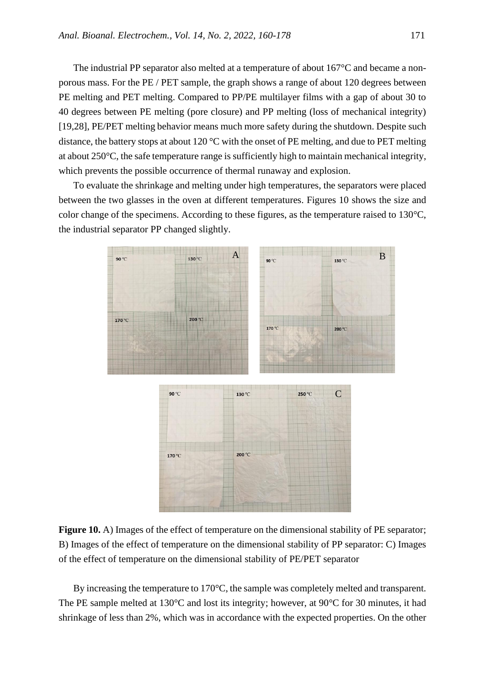The industrial PP separator also melted at a temperature of about 167°C and became a nonporous mass. For the PE / PET sample, the graph shows a range of about 120 degrees between PE melting and PET melting. Compared to PP/PE multilayer films with a gap of about 30 to 40 degrees between PE melting (pore closure) and PP melting (loss of mechanical integrity) [19,28], PE/PET melting behavior means much more safety during the shutdown. Despite such distance, the battery stops at about 120  $\degree$ C with the onset of PE melting, and due to PET melting at about 250°C, the safe temperature range is sufficiently high to maintain mechanical integrity, which prevents the possible occurrence of thermal runaway and explosion.

To evaluate the shrinkage and melting under high temperatures, the separators were placed between the two glasses in the oven at different temperatures. Figures 10 shows the size and color change of the specimens. According to these figures, as the temperature raised to 130°C, the industrial separator PP changed slightly.



**Figure 10.** A) Images of the effect of temperature on the dimensional stability of PE separator; B) Images of the effect of temperature on the dimensional stability of PP separator: C) Images of the effect of temperature on the dimensional stability of PE/PET separator

By increasing the temperature to 170°C, the sample was completely melted and transparent. The PE sample melted at 130°C and lost its integrity; however, at 90°C for 30 minutes, it had shrinkage of less than 2%, which was in accordance with the expected properties. On the other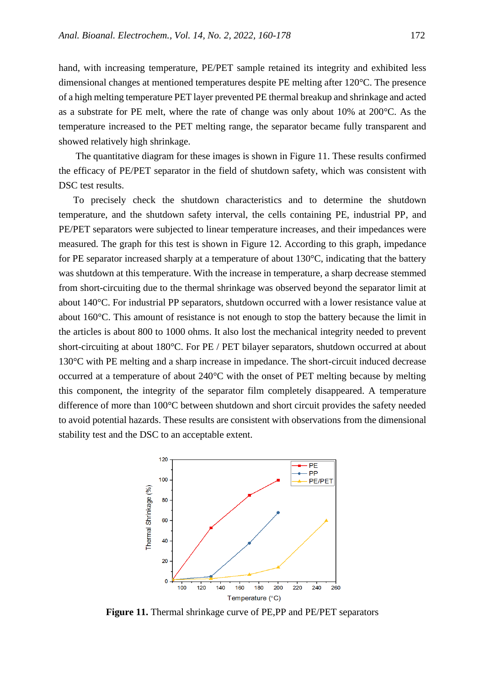hand, with increasing temperature, PE/PET sample retained its integrity and exhibited less dimensional changes at mentioned temperatures despite PE melting after 120°C. The presence of a high melting temperature PET layer prevented PE thermal breakup and shrinkage and acted as a substrate for PE melt, where the rate of change was only about 10% at 200°C. As the temperature increased to the PET melting range, the separator became fully transparent and showed relatively high shrinkage.

The quantitative diagram for these images is shown in Figure 11. These results confirmed the efficacy of PE/PET separator in the field of shutdown safety, which was consistent with DSC test results.

To precisely check the shutdown characteristics and to determine the shutdown temperature, and the shutdown safety interval, the cells containing PE, industrial PP, and PE/PET separators were subjected to linear temperature increases, and their impedances were measured. The graph for this test is shown in Figure 12. According to this graph, impedance for PE separator increased sharply at a temperature of about 130°C, indicating that the battery was shutdown at this temperature. With the increase in temperature, a sharp decrease stemmed from short-circuiting due to the thermal shrinkage was observed beyond the separator limit at about 140°C. For industrial PP separators, shutdown occurred with a lower resistance value at about 160°C. This amount of resistance is not enough to stop the battery because the limit in the articles is about 800 to 1000 ohms. It also lost the mechanical integrity needed to prevent short-circuiting at about 180°C. For PE / PET bilayer separators, shutdown occurred at about 130°C with PE melting and a sharp increase in impedance. The short-circuit induced decrease occurred at a temperature of about 240°C with the onset of PET melting because by melting this component, the integrity of the separator film completely disappeared. A temperature difference of more than 100°C between shutdown and short circuit provides the safety needed to avoid potential hazards. These results are consistent with observations from the dimensional stability test and the DSC to an acceptable extent.



**Figure 11.** Thermal shrinkage curve of PE,PP and PE/PET separators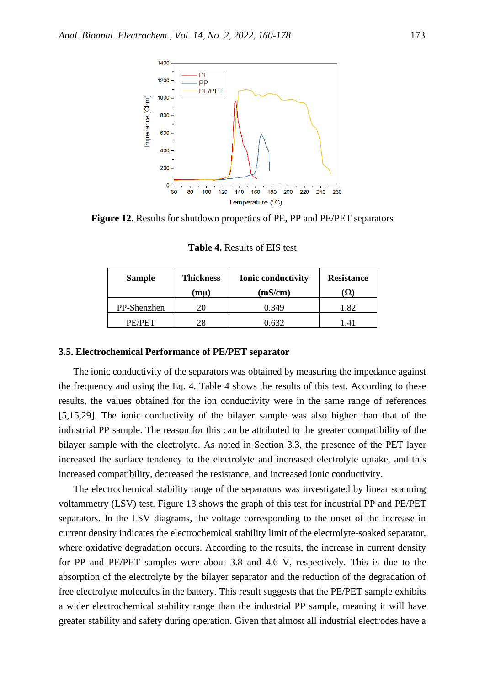

**Figure 12.** Results for shutdown properties of PE, PP and PE/PET separators

| <b>Sample</b> | <b>Thickness</b><br>(mu) | <b>Ionic conductivity</b><br>(mS/cm) | <b>Resistance</b><br>13 Z I |
|---------------|--------------------------|--------------------------------------|-----------------------------|
| PP-Shenzhen   | 20                       | 0.349                                | 1.82                        |
| PE/PET        | 28                       | ገ 632                                | $\Delta$ 1                  |

**Table 4.** Results of EIS test

### **3.5. Electrochemical Performance of PE/PET separator**

The ionic conductivity of the separators was obtained by measuring the impedance against the frequency and using the Eq. 4. Table 4 shows the results of this test. According to these results, the values obtained for the ion conductivity were in the same range of references [5,15,29]. The ionic conductivity of the bilayer sample was also higher than that of the industrial PP sample. The reason for this can be attributed to the greater compatibility of the bilayer sample with the electrolyte. As noted in Section 3.3, the presence of the PET layer increased the surface tendency to the electrolyte and increased electrolyte uptake, and this increased compatibility, decreased the resistance, and increased ionic conductivity.

The electrochemical stability range of the separators was investigated by linear scanning voltammetry (LSV) test. Figure 13 shows the graph of this test for industrial PP and PE/PET separators. In the LSV diagrams, the voltage corresponding to the onset of the increase in current density indicates the electrochemical stability limit of the electrolyte-soaked separator, where oxidative degradation occurs. According to the results, the increase in current density for PP and PE/PET samples were about 3.8 and 4.6 V, respectively. This is due to the absorption of the electrolyte by the bilayer separator and the reduction of the degradation of free electrolyte molecules in the battery. This result suggests that the PE/PET sample exhibits a wider electrochemical stability range than the industrial PP sample, meaning it will have greater stability and safety during operation. Given that almost all industrial electrodes have a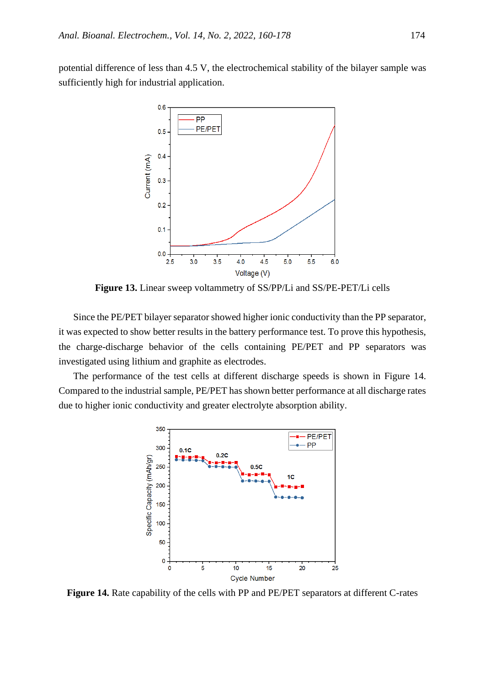potential difference of less than 4.5 V, the electrochemical stability of the bilayer sample was sufficiently high for industrial application.



**Figure 13.** Linear sweep voltammetry of SS/PP/Li and SS/PE-PET/Li cells

Since the PE/PET bilayer separator showed higher ionic conductivity than the PP separator, it was expected to show better results in the battery performance test. To prove this hypothesis, the charge-discharge behavior of the cells containing PE/PET and PP separators was investigated using lithium and graphite as electrodes.

The performance of the test cells at different discharge speeds is shown in Figure 14. Compared to the industrial sample, PE/PET has shown better performance at all discharge rates due to higher ionic conductivity and greater electrolyte absorption ability.



Figure 14. Rate capability of the cells with PP and PE/PET separators at different C-rates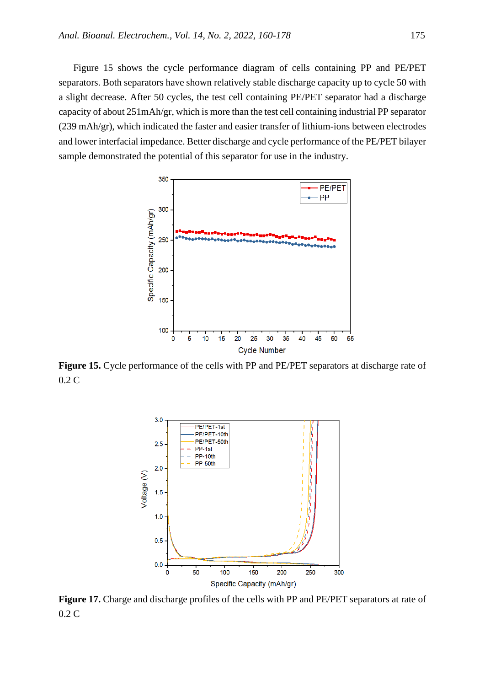Figure 15 shows the cycle performance diagram of cells containing PP and PE/PET separators. Both separators have shown relatively stable discharge capacity up to cycle 50 with a slight decrease. After 50 cycles, the test cell containing PE/PET separator had a discharge capacity of about 251mAh/gr, which is more than the test cell containing industrial PP separator (239 mAh/gr), which indicated the faster and easier transfer of lithium-ions between electrodes and lower interfacial impedance. Better discharge and cycle performance of the PE/PET bilayer sample demonstrated the potential of this separator for use in the industry.



**Figure 15.** Cycle performance of the cells with PP and PE/PET separators at discharge rate of 0.2 C



**Figure 17.** Charge and discharge profiles of the cells with PP and PE/PET separators at rate of 0.2 C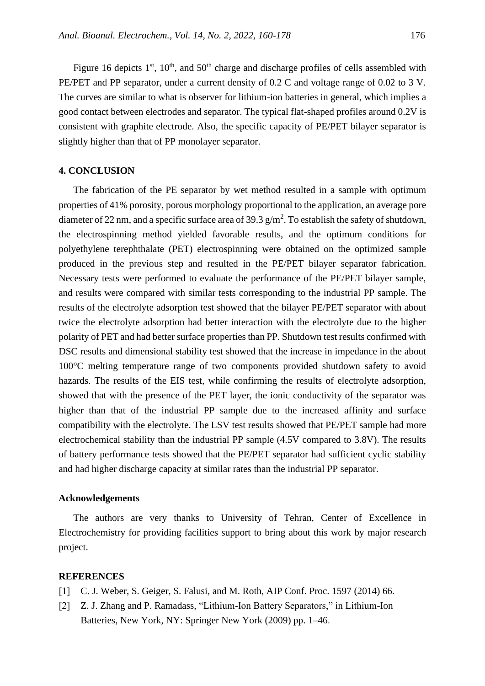Figure 16 depicts  $1<sup>st</sup>$ ,  $10<sup>th</sup>$ , and  $50<sup>th</sup>$  charge and discharge profiles of cells assembled with PE/PET and PP separator, under a current density of 0.2 C and voltage range of 0.02 to 3 V. The curves are similar to what is observer for lithium-ion batteries in general, which implies a good contact between electrodes and separator. The typical flat-shaped profiles around 0.2V is consistent with graphite electrode. Also, the specific capacity of PE/PET bilayer separator is slightly higher than that of PP monolayer separator.

## **4. CONCLUSION**

The fabrication of the PE separator by wet method resulted in a sample with optimum properties of 41% porosity, porous morphology proportional to the application, an average pore diameter of 22 nm, and a specific surface area of 39.3  $g/m^2$ . To establish the safety of shutdown, the electrospinning method yielded favorable results, and the optimum conditions for polyethylene terephthalate (PET) electrospinning were obtained on the optimized sample produced in the previous step and resulted in the PE/PET bilayer separator fabrication. Necessary tests were performed to evaluate the performance of the PE/PET bilayer sample, and results were compared with similar tests corresponding to the industrial PP sample. The results of the electrolyte adsorption test showed that the bilayer PE/PET separator with about twice the electrolyte adsorption had better interaction with the electrolyte due to the higher polarity of PET and had better surface properties than PP. Shutdown test results confirmed with DSC results and dimensional stability test showed that the increase in impedance in the about 100°C melting temperature range of two components provided shutdown safety to avoid hazards. The results of the EIS test, while confirming the results of electrolyte adsorption, showed that with the presence of the PET layer, the ionic conductivity of the separator was higher than that of the industrial PP sample due to the increased affinity and surface compatibility with the electrolyte. The LSV test results showed that PE/PET sample had more electrochemical stability than the industrial PP sample (4.5V compared to 3.8V). The results of battery performance tests showed that the PE/PET separator had sufficient cyclic stability and had higher discharge capacity at similar rates than the industrial PP separator.

#### **Acknowledgements**

The authors are very thanks to University of Tehran, Center of Excellence in Electrochemistry for providing facilities support to bring about this work by major research project.

### **REFERENCES**

- [1] C. J. Weber, S. Geiger, S. Falusi, and M. Roth, AIP Conf. Proc. 1597 (2014) 66.
- [2] Z. J. Zhang and P. Ramadass, "Lithium-Ion Battery Separators," in Lithium-Ion Batteries, New York, NY: Springer New York (2009) pp. 1–46.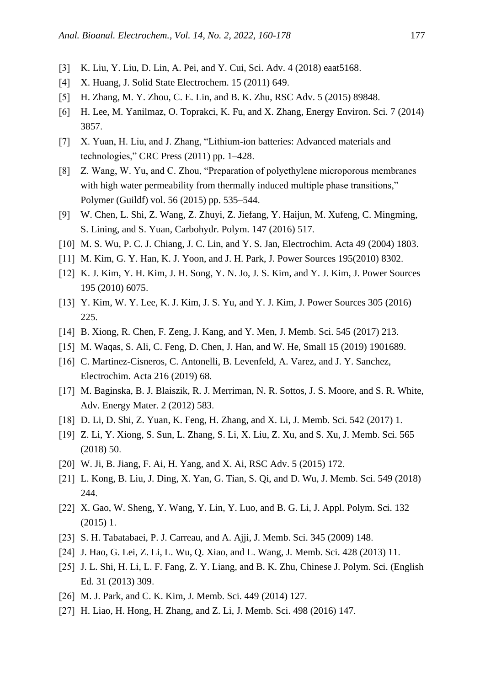- [3] K. Liu, Y. Liu, D. Lin, A. Pei, and Y. Cui, Sci. Adv. 4 (2018) eaat5168.
- [4] X. Huang, J. Solid State Electrochem. 15 (2011) 649.
- [5] H. Zhang, M. Y. Zhou, C. E. Lin, and B. K. Zhu, RSC Adv. 5 (2015) 89848.
- [6] H. Lee, M. Yanilmaz, O. Toprakci, K. Fu, and X. Zhang, Energy Environ. Sci. 7 (2014) 3857.
- [7] X. Yuan, H. Liu, and J. Zhang, "Lithium-ion batteries: Advanced materials and technologies," CRC Press (2011) pp. 1–428 .
- [8] Z. Wang, W. Yu, and C. Zhou, "Preparation of polyethylene microporous membranes with high water permeability from thermally induced multiple phase transitions," Polymer (Guildf) vol. 56 (2015) pp. 535–544 .
- ]9[ W. Chen, L. Shi, Z. Wang, Z. Zhuyi, Z. Jiefang, Y. Haijun, M. Xufeng, C. Mingming, S. Lining, and S. Yuan, Carbohydr. Polym. 147 (2016) 517.
- [10] M. S. Wu, P. C. J. Chiang, J. C. Lin, and Y. S. Jan, Electrochim. Acta 49 (2004) 1803.
- [11] M. Kim, G. Y. Han, K. J. Yoon, and J. H. Park, J. Power Sources 195(2010) 8302.
- [12] K. J. Kim, Y. H. Kim, J. H. Song, Y. N. Jo, J. S. Kim, and Y. J. Kim, J. Power Sources 195 (2010) 6075 .
- [13] Y. Kim, W. Y. Lee, K. J. Kim, J. S. Yu, and Y. J. Kim, J. Power Sources 305 (2016) 225.
- [14] B. Xiong, R. Chen, F. Zeng, J. Kang, and Y. Men, J. Memb. Sci. 545 (2017) 213.
- [15] M. Waqas, S. Ali, C. Feng, D. Chen, J. Han, and W. He, Small 15 (2019) 1901689.
- [16] C. Martinez-Cisneros, C. Antonelli, B. Levenfeld, A. Varez, and J. Y. Sanchez, Electrochim. Acta 216 (2019) 68.
- [17] M. Baginska, B. J. Blaiszik, R. J. Merriman, N. R. Sottos, J. S. Moore, and S. R. White, Adv. Energy Mater. 2 (2012) 583.
- [18] D. Li, D. Shi, Z. Yuan, K. Feng, H. Zhang, and X. Li, J. Memb. Sci. 542 (2017) 1.
- [19] Z. Li, Y. Xiong, S. Sun, L. Zhang, S. Li, X. Liu, Z. Xu, and S. Xu, J. Memb. Sci. 565  $(2018)$  50.
- [20] W. Ji, B. Jiang, F. Ai, H. Yang, and X. Ai, RSC Adv. 5 (2015) 172.
- [21] L. Kong, B. Liu, J. Ding, X. Yan, G. Tian, S. Qi, and D. Wu, J. Memb. Sci. 549 (2018) 244.
- [22] X. Gao, W. Sheng, Y. Wang, Y. Lin, Y. Luo, and B. G. Li, J. Appl. Polym. Sci. 132  $(2015)$  1.
- [23] S. H. Tabatabaei, P. J. Carreau, and A. Ajji, J. Memb. Sci. 345 (2009) 148.
- [24] J. Hao, G. Lei, Z. Li, L. Wu, Q. Xiao, and L. Wang, J. Memb. Sci. 428 (2013) 11.
- [25] J. L. Shi, H. Li, L. F. Fang, Z. Y. Liang, and B. K. Zhu, Chinese J. Polym. Sci. (English Ed. 31 (2013) 309.
- [26] M. J. Park, and C. K. Kim, J. Memb. Sci. 449 (2014) 127.
- [27] H. Liao, H. Hong, H. Zhang, and Z. Li, J. Memb. Sci. 498 (2016) 147.